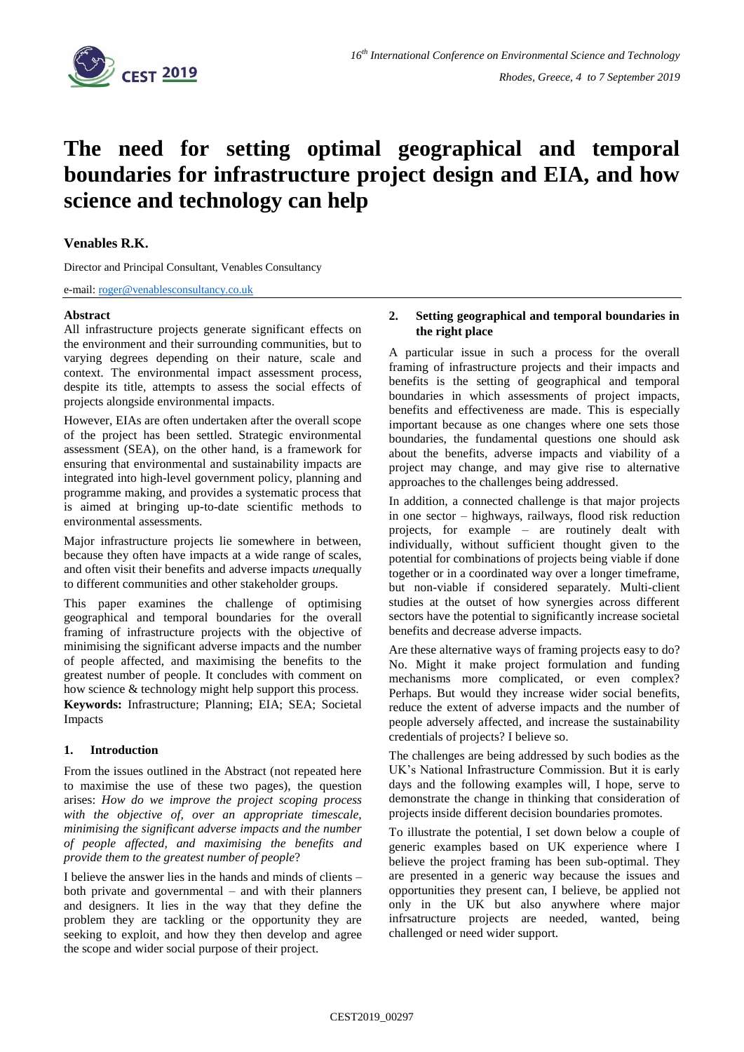

# **The need for setting optimal geographical and temporal boundaries for infrastructure project design and EIA, and how science and technology can help**

## **Venables R.K.**

Director and Principal Consultant, Venables Consultancy

e-mail: [roger@venablesconsultancy.co.uk](mailto:roger@venablesconsultancy.co.uk)

#### **Abstract**

All infrastructure projects generate significant effects on the environment and their surrounding communities, but to varying degrees depending on their nature, scale and context. The environmental impact assessment process, despite its title, attempts to assess the social effects of projects alongside environmental impacts.

However, EIAs are often undertaken after the overall scope of the project has been settled. Strategic environmental assessment (SEA), on the other hand, is a framework for ensuring that environmental and sustainability impacts are integrated into high-level government policy, planning and programme making, and provides a systematic process that is aimed at bringing up-to-date scientific methods to environmental assessments.

Major infrastructure projects lie somewhere in between, because they often have impacts at a wide range of scales, and often visit their benefits and adverse impacts *un*equally to different communities and other stakeholder groups.

This paper examines the challenge of optimising geographical and temporal boundaries for the overall framing of infrastructure projects with the objective of minimising the significant adverse impacts and the number of people affected, and maximising the benefits to the greatest number of people. It concludes with comment on how science & technology might help support this process. **Keywords:** Infrastructure; Planning; EIA; SEA; Societal Impacts

## **1. Introduction**

From the issues outlined in the Abstract (not repeated here to maximise the use of these two pages), the question arises: *How do we improve the project scoping process with the objective of, over an appropriate timescale, minimising the significant adverse impacts and the number of people affected, and maximising the benefits and provide them to the greatest number of people*?

I believe the answer lies in the hands and minds of clients – both private and governmental – and with their planners and designers. It lies in the way that they define the problem they are tackling or the opportunity they are seeking to exploit, and how they then develop and agree the scope and wider social purpose of their project.

#### **2. Setting geographical and temporal boundaries in the right place**

A particular issue in such a process for the overall framing of infrastructure projects and their impacts and benefits is the setting of geographical and temporal boundaries in which assessments of project impacts, benefits and effectiveness are made. This is especially important because as one changes where one sets those boundaries, the fundamental questions one should ask about the benefits, adverse impacts and viability of a project may change, and may give rise to alternative approaches to the challenges being addressed.

In addition, a connected challenge is that major projects in one sector – highways, railways, flood risk reduction projects, for example – are routinely dealt with individually, without sufficient thought given to the potential for combinations of projects being viable if done together or in a coordinated way over a longer timeframe, but non-viable if considered separately. Multi-client studies at the outset of how synergies across different sectors have the potential to significantly increase societal benefits and decrease adverse impacts.

Are these alternative ways of framing projects easy to do? No. Might it make project formulation and funding mechanisms more complicated, or even complex? Perhaps. But would they increase wider social benefits, reduce the extent of adverse impacts and the number of people adversely affected, and increase the sustainability credentials of projects? I believe so.

The challenges are being addressed by such bodies as the UK's National Infrastructure Commission. But it is early days and the following examples will, I hope, serve to demonstrate the change in thinking that consideration of projects inside different decision boundaries promotes.

To illustrate the potential, I set down below a couple of generic examples based on UK experience where I believe the project framing has been sub-optimal. They are presented in a generic way because the issues and opportunities they present can, I believe, be applied not only in the UK but also anywhere where major infrsatructure projects are needed, wanted, being challenged or need wider support.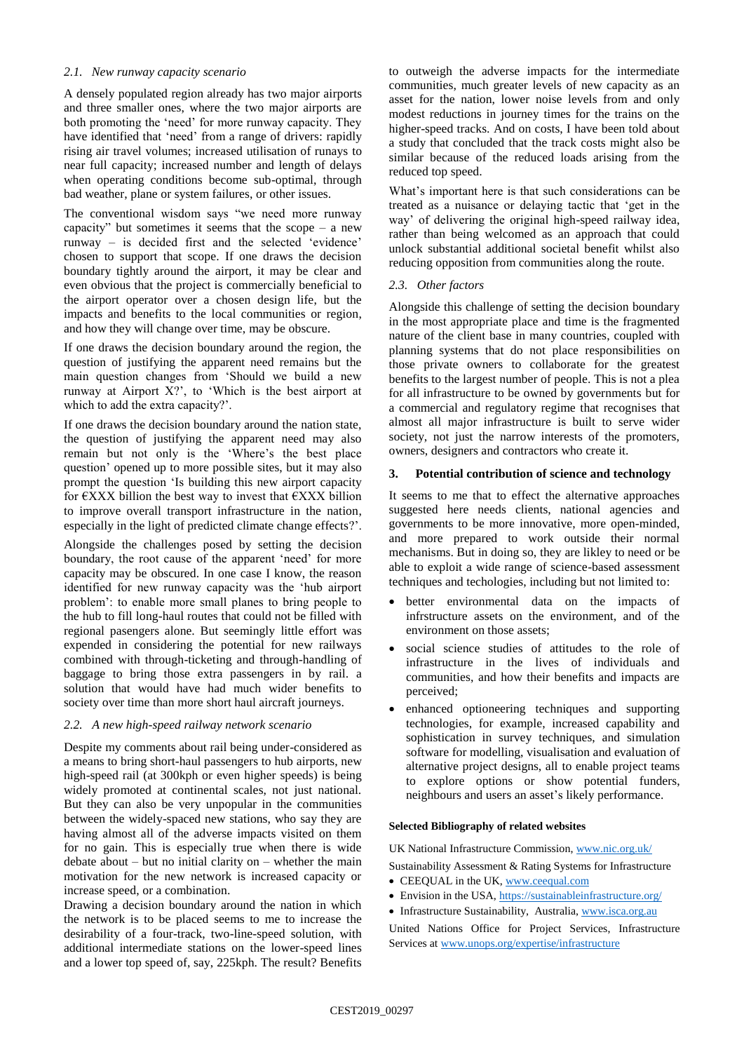## *2.1. New runway capacity scenario*

A densely populated region already has two major airports and three smaller ones, where the two major airports are both promoting the 'need' for more runway capacity. They have identified that 'need' from a range of drivers: rapidly rising air travel volumes; increased utilisation of runays to near full capacity; increased number and length of delays when operating conditions become sub-optimal, through bad weather, plane or system failures, or other issues.

The conventional wisdom says "we need more runway capacity" but sometimes it seems that the scope  $-$  a new runway – is decided first and the selected 'evidence' chosen to support that scope. If one draws the decision boundary tightly around the airport, it may be clear and even obvious that the project is commercially beneficial to the airport operator over a chosen design life, but the impacts and benefits to the local communities or region, and how they will change over time, may be obscure.

If one draws the decision boundary around the region, the question of justifying the apparent need remains but the main question changes from 'Should we build a new runway at Airport X?', to 'Which is the best airport at which to add the extra capacity?'.

If one draws the decision boundary around the nation state, the question of justifying the apparent need may also remain but not only is the 'Where's the best place question' opened up to more possible sites, but it may also prompt the question 'Is building this new airport capacity for  $\epsilon$ XXX billion the best way to invest that  $\epsilon$ XXX billion to improve overall transport infrastructure in the nation, especially in the light of predicted climate change effects?'.

Alongside the challenges posed by setting the decision boundary, the root cause of the apparent 'need' for more capacity may be obscured. In one case I know, the reason identified for new runway capacity was the 'hub airport problem': to enable more small planes to bring people to the hub to fill long-haul routes that could not be filled with regional pasengers alone. But seemingly little effort was expended in considering the potential for new railways combined with through-ticketing and through-handling of baggage to bring those extra passengers in by rail. a solution that would have had much wider benefits to society over time than more short haul aircraft journeys.

## *2.2. A new high-speed railway network scenario*

Despite my comments about rail being under-considered as a means to bring short-haul passengers to hub airports, new high-speed rail (at 300kph or even higher speeds) is being widely promoted at continental scales, not just national. But they can also be very unpopular in the communities between the widely-spaced new stations, who say they are having almost all of the adverse impacts visited on them for no gain. This is especially true when there is wide debate about  $-$  but no initial clarity on  $-$  whether the main motivation for the new network is increased capacity or increase speed, or a combination.

Drawing a decision boundary around the nation in which the network is to be placed seems to me to increase the desirability of a four-track, two-line-speed solution, with additional intermediate stations on the lower-speed lines and a lower top speed of, say, 225kph. The result? Benefits to outweigh the adverse impacts for the intermediate communities, much greater levels of new capacity as an asset for the nation, lower noise levels from and only modest reductions in journey times for the trains on the higher-speed tracks. And on costs, I have been told about a study that concluded that the track costs might also be similar because of the reduced loads arising from the reduced top speed.

What's important here is that such considerations can be treated as a nuisance or delaying tactic that 'get in the way' of delivering the original high-speed railway idea, rather than being welcomed as an approach that could unlock substantial additional societal benefit whilst also reducing opposition from communities along the route.

## *2.3. Other factors*

Alongside this challenge of setting the decision boundary in the most appropriate place and time is the fragmented nature of the client base in many countries, coupled with planning systems that do not place responsibilities on those private owners to collaborate for the greatest benefits to the largest number of people. This is not a plea for all infrastructure to be owned by governments but for a commercial and regulatory regime that recognises that almost all major infrastructure is built to serve wider society, not just the narrow interests of the promoters, owners, designers and contractors who create it.

#### **3. Potential contribution of science and technology**

It seems to me that to effect the alternative approaches suggested here needs clients, national agencies and governments to be more innovative, more open-minded, and more prepared to work outside their normal mechanisms. But in doing so, they are likley to need or be able to exploit a wide range of science-based assessment techniques and techologies, including but not limited to:

- better environmental data on the impacts of infrstructure assets on the environment, and of the environment on those assets;
- social science studies of attitudes to the role of infrastructure in the lives of individuals and communities, and how their benefits and impacts are perceived;
- enhanced optioneering techniques and supporting technologies, for example, increased capability and sophistication in survey techniques, and simulation software for modelling, visualisation and evaluation of alternative project designs, all to enable project teams to explore options or show potential funders, neighbours and users an asset's likely performance.

#### **Selected Bibliography of related websites**

UK National Infrastructure Commission, [www.nic.org.uk/](http://www.nic.org.uk/)

Sustainability Assessment & Rating Systems for Infrastructure

- CEEQUAL in the UK[, www.ceequal.com](http://www.ceequal.com/)
- Envision in the USA[, https://sustainableinfrastructure.org/](https://sustainableinfrastructure.org/)
- Infrastructure Sustainability, Australia[, www.isca.org.au](http://www.isca.org.au/)

United Nations Office for Project Services, Infrastructure Services at [www.unops.org/expertise/infrastructure](http://www.unops.org/expertise/infrastructure)